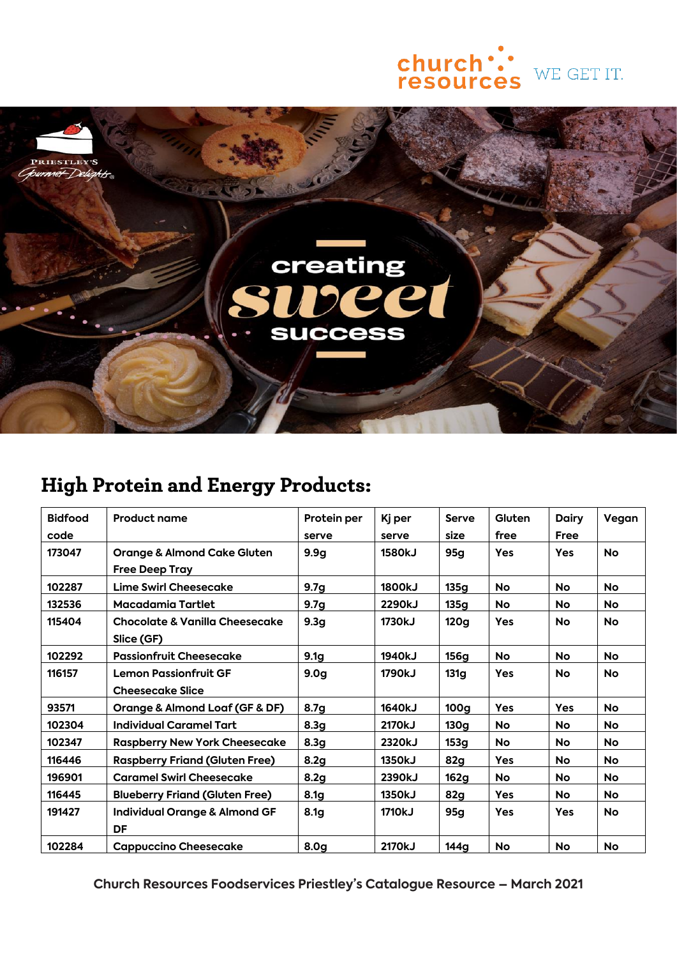



## **High Protein and Energy Products:**

| <b>Bidfood</b><br>code | <b>Product name</b>                                             | Protein per<br>serve | Kj per<br>serve | <b>Serve</b><br>size | Gluten<br>free | <b>Dairy</b><br>Free | Vegan     |
|------------------------|-----------------------------------------------------------------|----------------------|-----------------|----------------------|----------------|----------------------|-----------|
| 173047                 | <b>Orange &amp; Almond Cake Gluten</b><br><b>Free Deep Tray</b> | 9.9q                 | <b>1580kJ</b>   | 95g                  | <b>Yes</b>     | <b>Yes</b>           | <b>No</b> |
| 102287                 | Lime Swirl Cheesecake                                           | 9.7 <sub>g</sub>     | 1800kJ          | 135q                 | No             | <b>No</b>            | <b>No</b> |
| 132536                 | Macadamia Tartlet                                               | 9.7 <sub>g</sub>     | 2290kJ          | 135g                 | <b>No</b>      | No                   | <b>No</b> |
| 115404                 | Chocolate & Vanilla Cheesecake<br>Slice (GF)                    | 9.3 <sub>g</sub>     | 1730kJ          | 120 <sub>g</sub>     | <b>Yes</b>     | No                   | <b>No</b> |
| 102292                 | <b>Passionfruit Cheesecake</b>                                  | 9.1 <sub>g</sub>     | 1940kJ          | 156g                 | <b>No</b>      | No                   | <b>No</b> |
| 116157                 | <b>Lemon Passionfruit GF</b>                                    | 9.0 <sub>g</sub>     | 1790kJ          | 131q                 | <b>Yes</b>     | No                   | <b>No</b> |
|                        | <b>Cheesecake Slice</b>                                         |                      |                 |                      |                |                      |           |
| 93571                  | <b>Orange &amp; Almond Loaf (GF &amp; DF)</b>                   | 8.7 <sub>g</sub>     | 1640kJ          | 100 <sub>g</sub>     | Yes            | <b>Yes</b>           | <b>No</b> |
| 102304                 | <b>Individual Caramel Tart</b>                                  | 8.3 <sub>g</sub>     | 2170kJ          | 130g                 | No             | No                   | <b>No</b> |
| 102347                 | <b>Raspberry New York Cheesecake</b>                            | 8.3 <sub>g</sub>     | 2320kJ          | 153g                 | <b>No</b>      | No                   | <b>No</b> |
| 116446                 | <b>Raspberry Friand (Gluten Free)</b>                           | 8.2g                 | 1350kJ          | 82g                  | Yes            | No                   | <b>No</b> |
| 196901                 | <b>Caramel Swirl Cheesecake</b>                                 | 8.2g                 | 2390kJ          | 162g                 | <b>No</b>      | No                   | <b>No</b> |
| 116445                 | <b>Blueberry Friand (Gluten Free)</b>                           | 8.1 <sub>g</sub>     | 1350kJ          | 82g                  | <b>Yes</b>     | <b>No</b>            | <b>No</b> |
| 191427                 | Individual Orange & Almond GF<br>DF                             | 8.1 <sub>g</sub>     | 1710kJ          | 95g                  | <b>Yes</b>     | <b>Yes</b>           | <b>No</b> |
| 102284                 | <b>Cappuccino Cheesecake</b>                                    | 8.0g                 | 2170kJ          | 144a                 | No             | No                   | <b>No</b> |

**Church Resources Foodservices Priestley's Catalogue Resource – March 2021**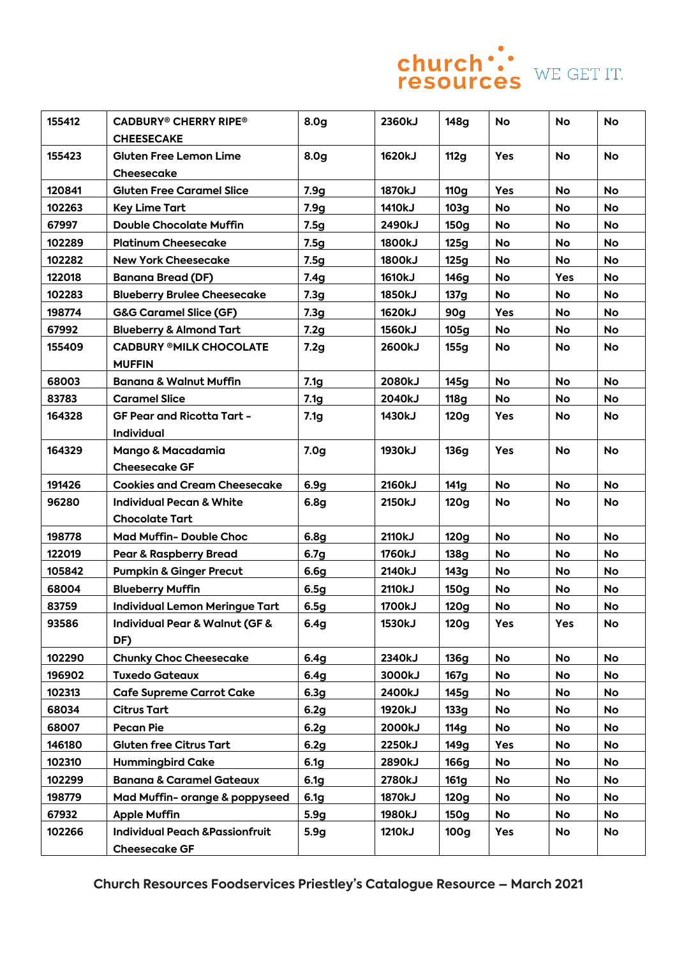

| WE GET IT |  |
|-----------|--|
|           |  |
|           |  |

| 155412 | <b>CADBURY® CHERRY RIPE®</b>                  | 8.0 <sub>g</sub> | 2360kJ        | 148g             | No        | <b>No</b> | <b>No</b> |
|--------|-----------------------------------------------|------------------|---------------|------------------|-----------|-----------|-----------|
|        | <b>CHEESECAKE</b>                             |                  |               |                  |           |           |           |
| 155423 | <b>Gluten Free Lemon Lime</b>                 | 8.0 <sub>g</sub> | 1620kJ        | <b>112g</b>      | Yes       | <b>No</b> | <b>No</b> |
|        | Cheesecake                                    |                  |               |                  |           |           |           |
| 120841 | <b>Gluten Free Caramel Slice</b>              | 7.9 <sub>g</sub> | 1870kJ        | <b>110g</b>      | Yes       | No        | <b>No</b> |
| 102263 | <b>Key Lime Tart</b>                          | 7.9g             | 1410kJ        | 103g             | No        | No        | No        |
| 67997  | <b>Double Chocolate Muffin</b>                | 7.5g             | 2490kJ        | 150g             | <b>No</b> | No        | No        |
| 102289 | <b>Platinum Cheesecake</b>                    | 7.5g             | <b>1800kJ</b> | 125g             | <b>No</b> | No        | No        |
| 102282 | <b>New York Cheesecake</b>                    | 7.5g             | <b>1800kJ</b> | 125g             | <b>No</b> | No        | <b>No</b> |
| 122018 | <b>Banana Bread (DF)</b>                      | 7.4g             | <b>1610kJ</b> | 146g             | <b>No</b> | Yes       | <b>No</b> |
| 102283 | <b>Blueberry Brulee Cheesecake</b>            | 7.3g             | <b>1850kJ</b> | 137g             | No        | No        | No        |
| 198774 | <b>G&amp;G Caramel Slice (GF)</b>             | 7.3g             | 1620kJ        | 90g              | Yes       | No        | No        |
| 67992  | <b>Blueberry &amp; Almond Tart</b>            | 7.2g             | <b>1560kJ</b> | 105g             | No        | No        | No        |
| 155409 | <b>CADBURY ®MILK CHOCOLATE</b>                | 7.2g             | 2600kJ        | 155g             | <b>No</b> | No        | No        |
|        | <b>MUFFIN</b>                                 |                  |               |                  |           |           |           |
| 68003  | <b>Banana &amp; Walnut Muffin</b>             | 7.1 <sub>g</sub> | 2080kJ        | 145g             | <b>No</b> | <b>No</b> | <b>No</b> |
| 83783  | <b>Caramel Slice</b>                          | 7.1 <sub>g</sub> | 2040kJ        | <b>118g</b>      | <b>No</b> | No        | No        |
| 164328 | <b>GF Pear and Ricotta Tart -</b>             | 7.1 <sub>g</sub> | 1430kJ        | 120g             | Yes       | No        | No        |
|        | Individual                                    |                  |               |                  |           |           |           |
| 164329 | Mango & Macadamia                             | 7.0 <sub>g</sub> | 1930kJ        | 136g             | Yes       | <b>No</b> | <b>No</b> |
|        | <b>Cheesecake GF</b>                          |                  |               |                  |           |           |           |
| 191426 | <b>Cookies and Cream Cheesecake</b>           | 6.9 <sub>g</sub> | 2160kJ        | 141g             | <b>No</b> | No        | No        |
| 96280  | <b>Individual Pecan &amp; White</b>           | 6.8 <sub>g</sub> | 2150kJ        | 120g             | <b>No</b> | No        | No        |
|        | <b>Chocolate Tart</b>                         |                  |               |                  |           |           |           |
| 198778 | <b>Mad Muffin- Double Choc</b>                | 6.8 <sub>g</sub> | 2110kJ        | <b>120g</b>      | <b>No</b> | No        | <b>No</b> |
| 122019 | <b>Pear &amp; Raspberry Bread</b>             | 6.7 <sub>g</sub> | <b>1760kJ</b> | 138g             | No        | No        | <b>No</b> |
| 105842 | <b>Pumpkin &amp; Ginger Precut</b>            | 6.6g             | 2140kJ        | 143g             | No        | No        | No        |
| 68004  | <b>Blueberry Muffin</b>                       | 6.5g             | 2110kJ        | 150g             | No        | No        | No        |
| 83759  | <b>Individual Lemon Meringue Tart</b>         | 6.5g             | 1700kJ        | 120g             | No        | No        | No        |
| 93586  | <b>Individual Pear &amp; Walnut (GF &amp;</b> | 6.4 <sub>g</sub> | 1530kJ        | 120g             | Yes       | Yes       | No        |
|        | DF)                                           |                  |               |                  |           |           |           |
| 102290 | <b>Chunky Choc Cheesecake</b>                 | 6.4 <sub>g</sub> | 2340kJ        | 136g             | <b>No</b> | No        | <b>No</b> |
| 196902 | <b>Tuxedo Gateaux</b>                         | 6.4 <sub>g</sub> | 3000kJ        | 167g             | No        | No        | No        |
| 102313 | <b>Cafe Supreme Carrot Cake</b>               | 6.3 <sub>g</sub> | 2400kJ        | 145g             | No        | No        | No        |
| 68034  | <b>Citrus Tart</b>                            | 6.2g             | 1920kJ        | 133g             | No        | No        | No        |
| 68007  | <b>Pecan Pie</b>                              | 6.2g             | 2000kJ        | 114g             | No        | No        | No        |
| 146180 | <b>Gluten free Citrus Tart</b>                | 6.2g             | 2250kJ        | 149g             | Yes       | No        | No        |
| 102310 | <b>Hummingbird Cake</b>                       | 6.1 <sub>g</sub> | 2890kJ        | <b>166g</b>      | No        | No        | No        |
| 102299 | <b>Banana &amp; Caramel Gateaux</b>           | 6.1 <sub>g</sub> | 2780kJ        | 161g             | No        | No        | No        |
| 198779 | Mad Muffin- orange & poppyseed                | 6.1 <sub>g</sub> | 1870kJ        | 120g             | No        | No        | No        |
| 67932  | <b>Apple Muffin</b>                           | 5.9 <sub>g</sub> | 1980kJ        | 150g             | No        | No        | No        |
| 102266 | <b>Individual Peach &amp;Passionfruit</b>     | 5.9g             | 1210kJ        | 100 <sub>g</sub> | Yes       | No        | No        |
|        | <b>Cheesecake GF</b>                          |                  |               |                  |           |           |           |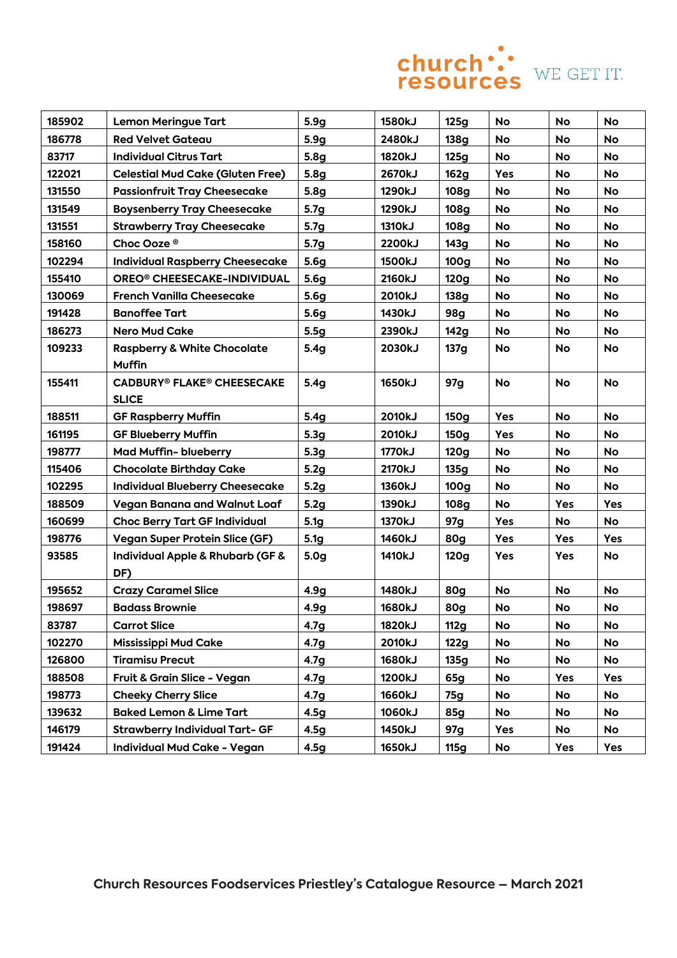

| 185902 | <b>Lemon Meringue Tart</b>              | 5.9g             | 1580kJ        | 125g             | <b>No</b> | <b>No</b> | <b>No</b> |
|--------|-----------------------------------------|------------------|---------------|------------------|-----------|-----------|-----------|
| 186778 | <b>Red Velvet Gateau</b>                | 5.9g             | 2480kJ        | <b>138g</b>      | <b>No</b> | No        | <b>No</b> |
| 83717  | <b>Individual Citrus Tart</b>           | 5.8g             | 1820kJ        | 125g             | <b>No</b> | No        | No        |
| 122021 | <b>Celestial Mud Cake (Gluten Free)</b> | 5.8 <sub>g</sub> | 2670kJ        | 162g             | Yes       | No        | No        |
| 131550 | <b>Passionfruit Tray Cheesecake</b>     | 5.8 <sub>g</sub> | 1290kJ        | 108g             | <b>No</b> | No        | <b>No</b> |
| 131549 | <b>Boysenberry Tray Cheesecake</b>      | 5.7 <sub>g</sub> | 1290kJ        | 108g             | No        | <b>No</b> | <b>No</b> |
| 131551 | <b>Strawberry Tray Cheesecake</b>       | 5.7 <sub>g</sub> | 1310kJ        | 108g             | No        | No        | No        |
| 158160 | Choc Ooze <sup>®</sup>                  | 5.7 <sub>g</sub> | 2200kJ        | 143g             | No        | No        | No        |
| 102294 | <b>Individual Raspberry Cheesecake</b>  | 5.6 <sub>g</sub> | <b>1500kJ</b> | 100 <sub>g</sub> | No        | No        | No        |
| 155410 | OREO <sup>®</sup> CHEESECAKE-INDIVIDUAL | 5.6 <sub>g</sub> | 2160kJ        | <b>120g</b>      | <b>No</b> | No        | No        |
| 130069 | <b>French Vanilla Cheesecake</b>        | 5.6 <sub>g</sub> | 2010kJ        | 138g             | No        | No        | <b>No</b> |
| 191428 | <b>Banoffee Tart</b>                    | 5.6 <sub>q</sub> | 1430kJ        | <b>98g</b>       | <b>No</b> | No        | No        |
| 186273 | <b>Nero Mud Cake</b>                    | 5.5g             | 2390kJ        | 142g             | No        | No        | No        |
| 109233 | <b>Raspberry &amp; White Chocolate</b>  | 5.4g             | 2030kJ        | 137g             | No        | No        | No        |
|        | <b>Muffin</b>                           |                  |               |                  |           |           |           |
| 155411 | <b>CADBURY® FLAKE® CHEESECAKE</b>       | 5.4g             | <b>1650kJ</b> | 97g              | <b>No</b> | <b>No</b> | <b>No</b> |
|        | <b>SLICE</b>                            |                  |               |                  |           |           |           |
| 188511 | <b>GF Raspberry Muffin</b>              | 5.4g             | 2010kJ        | 150g             | Yes       | <b>No</b> | <b>No</b> |
| 161195 | <b>GF Blueberry Muffin</b>              | 5.3 <sub>g</sub> | 2010kJ        | 150g             | Yes       | No        | No        |
| 198777 | <b>Mad Muffin- blueberry</b>            | 5.3 <sub>g</sub> | 1770kJ        | 120g             | <b>No</b> | No        | <b>No</b> |
| 115406 | <b>Chocolate Birthday Cake</b>          | 5.2g             | 2170kJ        | 135g             | No        | No        | No        |
| 102295 | <b>Individual Blueberry Cheesecake</b>  | 5.2g             | 1360kJ        | 100 <sub>g</sub> | No        | No        | No        |
| 188509 | <b>Vegan Banana and Walnut Loaf</b>     | 5.2g             | 1390kJ        | <b>108g</b>      | <b>No</b> | Yes       | Yes       |
| 160699 | <b>Choc Berry Tart GF Individual</b>    | 5.1 <sub>g</sub> | 1370kJ        | 97g              | Yes       | No        | No        |
| 198776 | <b>Vegan Super Protein Slice (GF)</b>   | 5.1 <sub>g</sub> | 1460kJ        | 80g              | Yes       | Yes       | Yes       |
| 93585  | Individual Apple & Rhubarb (GF &        | 5.0 <sub>g</sub> | 1410kJ        | 120g             | Yes       | Yes       | No        |
|        | DF)                                     |                  |               |                  |           |           |           |
| 195652 | <b>Crazy Caramel Slice</b>              | 4.9g             | 1480kJ        | <b>80g</b>       | <b>No</b> | No        | No        |
| 198697 | <b>Badass Brownie</b>                   | 4.9g             | 1680kJ        | 80g              | No        | No        | No        |
| 83787  | <b>Carrot Slice</b>                     | 4.7 <sub>g</sub> | 1820kJ        | <b>112g</b>      | No        | No        | No        |
| 102270 | <b>Mississippi Mud Cake</b>             | 4.7 <sub>g</sub> | 2010kJ        | 122g             | No        | No        | No        |
| 126800 | <b>Tiramisu Precut</b>                  | 4.7 <sub>g</sub> | 1680kJ        | 135g             | No        | No        | No        |
| 188508 | Fruit & Grain Slice - Vegan             | 4.7 <sub>g</sub> | 1200kJ        | 65g              | No        | Yes       | Yes       |
| 198773 | <b>Cheeky Cherry Slice</b>              | 4.7 <sub>g</sub> | 1660kJ        | 75g              | No        | No        | <b>No</b> |
| 139632 | <b>Baked Lemon &amp; Lime Tart</b>      | 4.5g             | 1060kJ        | 85g              | No        | No        | No        |
| 146179 | <b>Strawberry Individual Tart- GF</b>   | 4.5 <sub>g</sub> | 1450kJ        | 97g              | Yes       | No        | No        |
| 191424 | <b>Individual Mud Cake - Vegan</b>      | 4.5g             | 1650kJ        | <b>115g</b>      | No        | Yes       | Yes       |